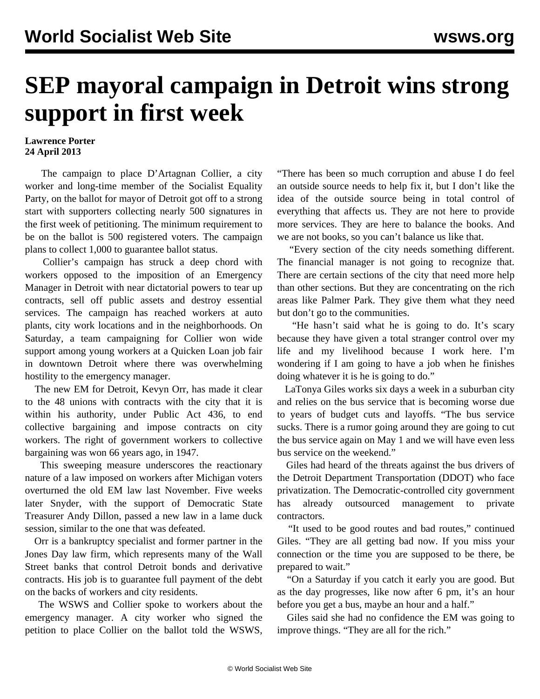## **SEP mayoral campaign in Detroit wins strong support in first week**

## **Lawrence Porter 24 April 2013**

 The campaign to place D'Artagnan Collier, a city worker and long-time member of the Socialist Equality Party, on the ballot for mayor of Detroit got off to a strong start with supporters collecting nearly 500 signatures in the first week of petitioning. The minimum requirement to be on the ballot is 500 registered voters. The campaign plans to collect 1,000 to guarantee ballot status.

 Collier's campaign has struck a deep chord with workers opposed to the imposition of an Emergency Manager in Detroit with near dictatorial powers to tear up contracts, sell off public assets and destroy essential services. The campaign has reached workers at auto plants, city work locations and in the neighborhoods. On Saturday, a team campaigning for Collier won wide support among young workers at a Quicken Loan job fair in downtown Detroit where there was overwhelming hostility to the emergency manager.

 The new EM for Detroit, Kevyn Orr, has made it clear to the 48 unions with contracts with the city that it is within his authority, under Public Act 436, to end collective bargaining and impose contracts on city workers. The right of government workers to collective bargaining was won 66 years ago, in 1947.

 This sweeping measure underscores the reactionary nature of a law imposed on workers after Michigan voters overturned the old EM law last November. Five weeks later Snyder, with the support of Democratic State Treasurer Andy Dillon, passed a new law in a lame duck session, similar to the one that was defeated.

 Orr is a bankruptcy specialist and former partner in the Jones Day law firm, which represents many of the Wall Street banks that control Detroit bonds and derivative contracts. His job is to guarantee full payment of the debt on the backs of workers and city residents.

 The WSWS and Collier spoke to workers about the emergency manager. A city worker who signed the petition to place Collier on the ballot told the WSWS, "There has been so much corruption and abuse I do feel an outside source needs to help fix it, but I don't like the idea of the outside source being in total control of everything that affects us. They are not here to provide more services. They are here to balance the books. And we are not books, so you can't balance us like that.

 "Every section of the city needs something different. The financial manager is not going to recognize that. There are certain sections of the city that need more help than other sections. But they are concentrating on the rich areas like Palmer Park. They give them what they need but don't go to the communities.

 "He hasn't said what he is going to do. It's scary because they have given a total stranger control over my life and my livelihood because I work here. I'm wondering if I am going to have a job when he finishes doing whatever it is he is going to do."

 LaTonya Giles works six days a week in a suburban city and relies on the bus service that is becoming worse due to years of budget cuts and layoffs. "The bus service sucks. There is a rumor going around they are going to cut the bus service again on May 1 and we will have even less bus service on the weekend."

 Giles had heard of the threats against the bus drivers of the Detroit Department Transportation (DDOT) who face privatization. The Democratic-controlled city government has already outsourced management to private contractors.

 "It used to be good routes and bad routes," continued Giles. "They are all getting bad now. If you miss your connection or the time you are supposed to be there, be prepared to wait."

 "On a Saturday if you catch it early you are good. But as the day progresses, like now after 6 pm, it's an hour before you get a bus, maybe an hour and a half."

 Giles said she had no confidence the EM was going to improve things. "They are all for the rich."